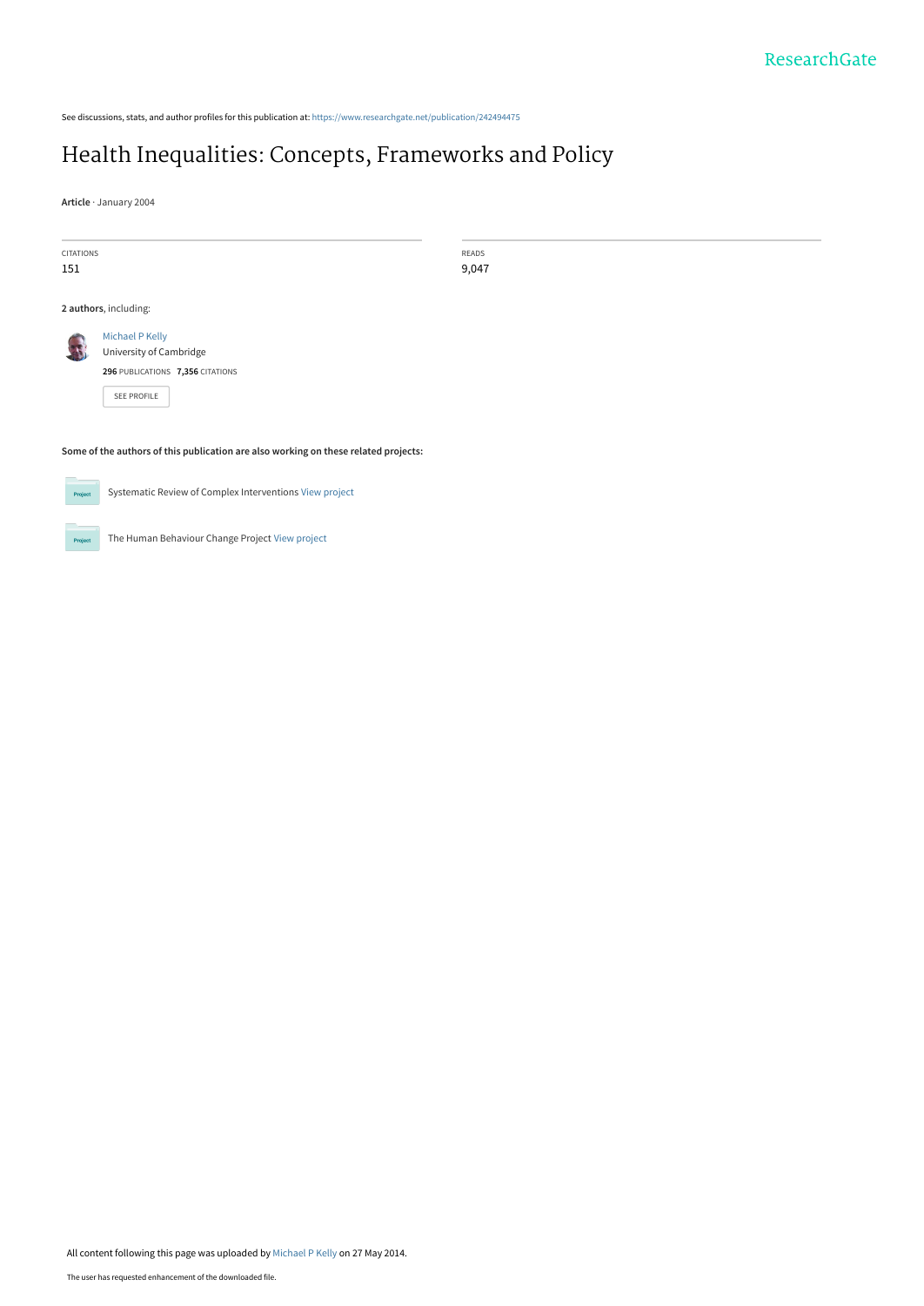See discussions, stats, and author profiles for this publication at: [https://www.researchgate.net/publication/242494475](https://www.researchgate.net/publication/242494475_Health_Inequalities_Concepts_Frameworks_and_Policy?enrichId=rgreq-b6a77dd4bbc9a41c8fc3f21f74f91c58-XXX&enrichSource=Y292ZXJQYWdlOzI0MjQ5NDQ3NTtBUzoxMDEzNTg0MjYzOTQ2MzFAMTQwMTE3NzE0MDg0MQ%3D%3D&el=1_x_2&_esc=publicationCoverPdf)

# [Health Inequalities: Concepts, Frameworks and Policy](https://www.researchgate.net/publication/242494475_Health_Inequalities_Concepts_Frameworks_and_Policy?enrichId=rgreq-b6a77dd4bbc9a41c8fc3f21f74f91c58-XXX&enrichSource=Y292ZXJQYWdlOzI0MjQ5NDQ3NTtBUzoxMDEzNTg0MjYzOTQ2MzFAMTQwMTE3NzE0MDg0MQ%3D%3D&el=1_x_3&_esc=publicationCoverPdf)

**Article** · January 2004

CITATIONS 151

READS 9,047

**2 authors**, including:



[SEE PROFILE](https://www.researchgate.net/profile/Michael-Kelly-70?enrichId=rgreq-b6a77dd4bbc9a41c8fc3f21f74f91c58-XXX&enrichSource=Y292ZXJQYWdlOzI0MjQ5NDQ3NTtBUzoxMDEzNTg0MjYzOTQ2MzFAMTQwMTE3NzE0MDg0MQ%3D%3D&el=1_x_7&_esc=publicationCoverPdf)

**Some of the authors of this publication are also working on these related projects:**



Proj

Systematic Review of Complex Interventions [View project](https://www.researchgate.net/project/Systematic-Review-of-Complex-Interventions?enrichId=rgreq-b6a77dd4bbc9a41c8fc3f21f74f91c58-XXX&enrichSource=Y292ZXJQYWdlOzI0MjQ5NDQ3NTtBUzoxMDEzNTg0MjYzOTQ2MzFAMTQwMTE3NzE0MDg0MQ%3D%3D&el=1_x_9&_esc=publicationCoverPdf)

The Human Behaviour Change Project [View project](https://www.researchgate.net/project/The-Human-Behaviour-Change-Project?enrichId=rgreq-b6a77dd4bbc9a41c8fc3f21f74f91c58-XXX&enrichSource=Y292ZXJQYWdlOzI0MjQ5NDQ3NTtBUzoxMDEzNTg0MjYzOTQ2MzFAMTQwMTE3NzE0MDg0MQ%3D%3D&el=1_x_9&_esc=publicationCoverPdf)

All content following this page was uploaded by [Michael P Kelly](https://www.researchgate.net/profile/Michael-Kelly-70?enrichId=rgreq-b6a77dd4bbc9a41c8fc3f21f74f91c58-XXX&enrichSource=Y292ZXJQYWdlOzI0MjQ5NDQ3NTtBUzoxMDEzNTg0MjYzOTQ2MzFAMTQwMTE3NzE0MDg0MQ%3D%3D&el=1_x_10&_esc=publicationCoverPdf) on 27 May 2014.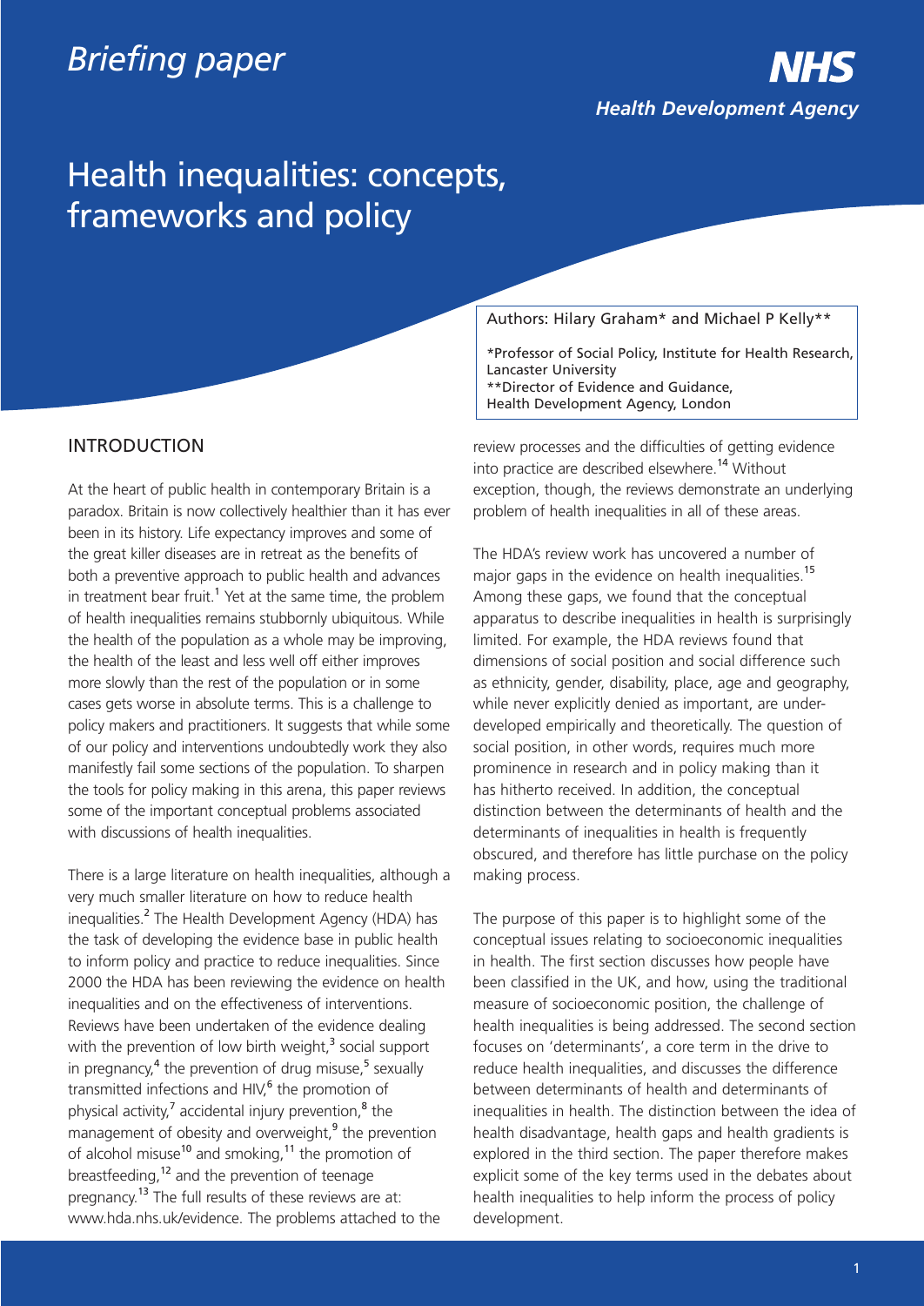# *Briefing paper*

*Health Development Agency*

# Health inequalities: concepts, frameworks and policy

# INTRODUCTION

At the heart of public health in contemporary Britain is a paradox. Britain is now collectively healthier than it has ever been in its history. Life expectancy improves and some of the great killer diseases are in retreat as the benefits of both a preventive approach to public health and advances in treatment bear fruit.<sup>1</sup> Yet at the same time, the problem of health inequalities remains stubbornly ubiquitous. While the health of the population as a whole may be improving, the health of the least and less well off either improves more slowly than the rest of the population or in some cases gets worse in absolute terms. This is a challenge to policy makers and practitioners. It suggests that while some of our policy and interventions undoubtedly work they also manifestly fail some sections of the population. To sharpen the tools for policy making in this arena, this paper reviews some of the important conceptual problems associated with discussions of health inequalities.

There is a large literature on health inequalities, although a very much smaller literature on how to reduce health inequalities.<sup>2</sup> The Health Development Agency (HDA) has the task of developing the evidence base in public health to inform policy and practice to reduce inequalities. Since 2000 the HDA has been reviewing the evidence on health inequalities and on the effectiveness of interventions. Reviews have been undertaken of the evidence dealing with the prevention of low birth weight, $3$  social support in pregnancy, $4$  the prevention of drug misuse, $5$  sexually transmitted infections and HIV, $<sup>6</sup>$  the promotion of</sup> physical activity, $^7$  accidental injury prevention, $^8$  the management of obesity and overweight, $9$  the prevention of alcohol misuse<sup>10</sup> and smoking,<sup>11</sup> the promotion of breastfeeding,<sup>12</sup> and the prevention of teenage pregnancy.<sup>13</sup> The full results of these reviews are at: www.hda.nhs.uk/evidence. The problems attached to the

Authors: Hilary Graham\* and Michael P Kelly\*\*

\*Professor of Social Policy, Institute for Health Research, Lancaster University \*\*Director of Evidence and Guidance, Health Development Agency, London

review processes and the difficulties of getting evidence into practice are described elsewhere.<sup>14</sup> Without exception, though, the reviews demonstrate an underlying problem of health inequalities in all of these areas.

The HDA's review work has uncovered a number of major gaps in the evidence on health inequalities.<sup>15</sup> Among these gaps, we found that the conceptual apparatus to describe inequalities in health is surprisingly limited. For example, the HDA reviews found that dimensions of social position and social difference such as ethnicity, gender, disability, place, age and geography, while never explicitly denied as important, are underdeveloped empirically and theoretically. The question of social position, in other words, requires much more prominence in research and in policy making than it has hitherto received. In addition, the conceptual distinction between the determinants of health and the determinants of inequalities in health is frequently obscured, and therefore has little purchase on the policy making process.

The purpose of this paper is to highlight some of the conceptual issues relating to socioeconomic inequalities in health. The first section discusses how people have been classified in the UK, and how, using the traditional measure of socioeconomic position, the challenge of health inequalities is being addressed. The second section focuses on 'determinants', a core term in the drive to reduce health inequalities, and discusses the difference between determinants of health and determinants of inequalities in health. The distinction between the idea of health disadvantage, health gaps and health gradients is explored in the third section. The paper therefore makes explicit some of the key terms used in the debates about health inequalities to help inform the process of policy development.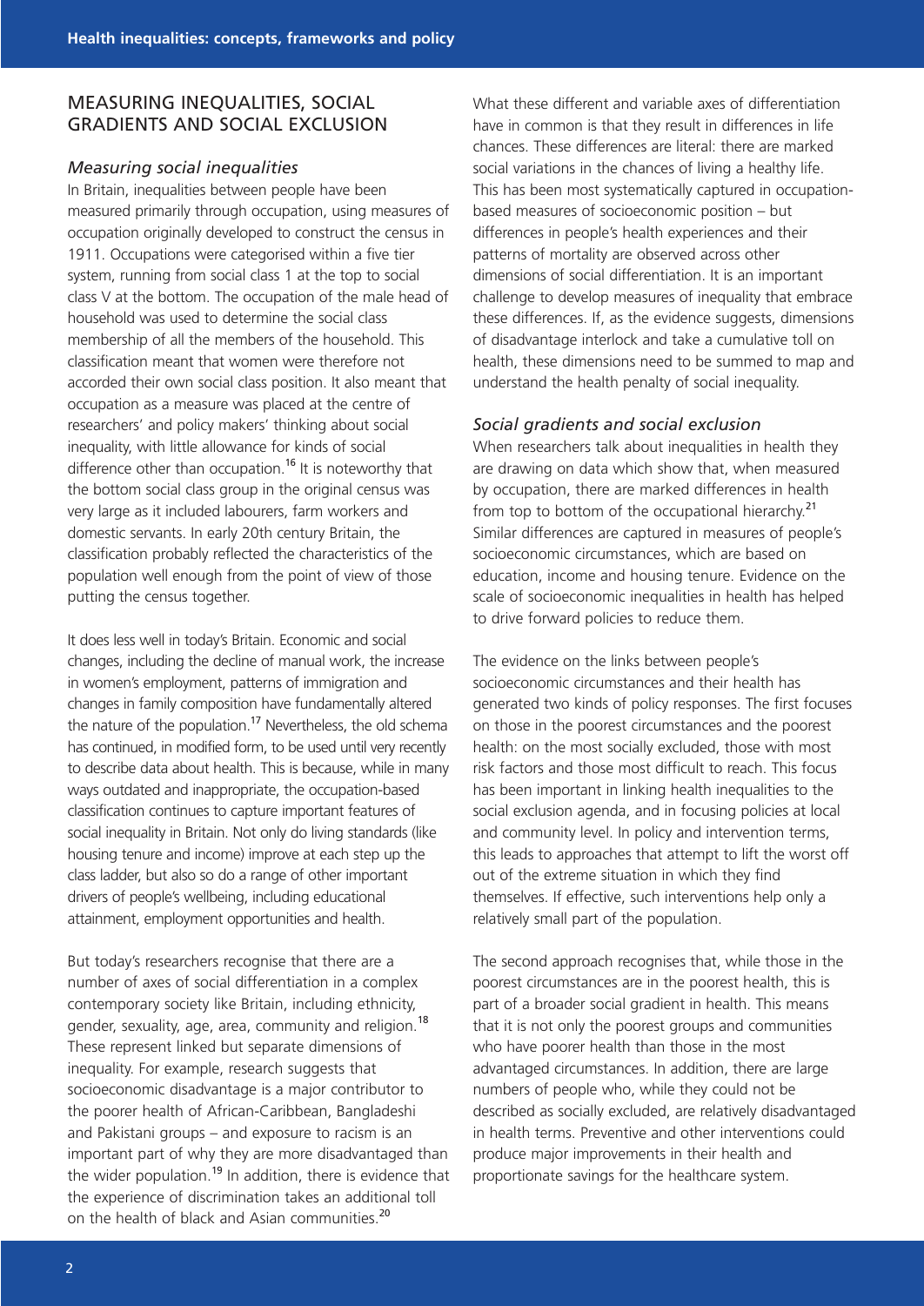# MEASURING INEQUALITIES, SOCIAL GRADIENTS AND SOCIAL EXCLUSION

#### *Measuring social inequalities*

In Britain, inequalities between people have been measured primarily through occupation, using measures of occupation originally developed to construct the census in 1911. Occupations were categorised within a five tier system, running from social class 1 at the top to social class V at the bottom. The occupation of the male head of household was used to determine the social class membership of all the members of the household. This classification meant that women were therefore not accorded their own social class position. It also meant that occupation as a measure was placed at the centre of researchers' and policy makers' thinking about social inequality, with little allowance for kinds of social difference other than occupation.<sup>16</sup> It is noteworthy that the bottom social class group in the original census was very large as it included labourers, farm workers and domestic servants. In early 20th century Britain, the classification probably reflected the characteristics of the population well enough from the point of view of those putting the census together.

It does less well in today's Britain. Economic and social changes, including the decline of manual work, the increase in women's employment, patterns of immigration and changes in family composition have fundamentally altered the nature of the population.<sup>17</sup> Nevertheless, the old schema has continued, in modified form, to be used until very recently to describe data about health. This is because, while in many ways outdated and inappropriate, the occupation-based classification continues to capture important features of social inequality in Britain. Not only do living standards (like housing tenure and income) improve at each step up the class ladder, but also so do a range of other important drivers of people's wellbeing, including educational attainment, employment opportunities and health.

But today's researchers recognise that there are a number of axes of social differentiation in a complex contemporary society like Britain, including ethnicity, gender, sexuality, age, area, community and religion.<sup>18</sup> These represent linked but separate dimensions of inequality. For example, research suggests that socioeconomic disadvantage is a major contributor to the poorer health of African-Caribbean, Bangladeshi and Pakistani groups – and exposure to racism is an important part of why they are more disadvantaged than the wider population.<sup>19</sup> In addition, there is evidence that the experience of discrimination takes an additional toll on the health of black and Asian communities.<sup>20</sup>

What these different and variable axes of differentiation have in common is that they result in differences in life chances. These differences are literal: there are marked social variations in the chances of living a healthy life. This has been most systematically captured in occupationbased measures of socioeconomic position – but differences in people's health experiences and their patterns of mortality are observed across other dimensions of social differentiation. It is an important challenge to develop measures of inequality that embrace these differences. If, as the evidence suggests, dimensions of disadvantage interlock and take a cumulative toll on health, these dimensions need to be summed to map and understand the health penalty of social inequality.

#### *Social gradients and social exclusion*

When researchers talk about inequalities in health they are drawing on data which show that, when measured by occupation, there are marked differences in health from top to bottom of the occupational hierarchy.<sup>21</sup> Similar differences are captured in measures of people's socioeconomic circumstances, which are based on education, income and housing tenure. Evidence on the scale of socioeconomic inequalities in health has helped to drive forward policies to reduce them.

The evidence on the links between people's socioeconomic circumstances and their health has generated two kinds of policy responses. The first focuses on those in the poorest circumstances and the poorest health: on the most socially excluded, those with most risk factors and those most difficult to reach. This focus has been important in linking health inequalities to the social exclusion agenda, and in focusing policies at local and community level. In policy and intervention terms, this leads to approaches that attempt to lift the worst off out of the extreme situation in which they find themselves. If effective, such interventions help only a relatively small part of the population.

The second approach recognises that, while those in the poorest circumstances are in the poorest health, this is part of a broader social gradient in health. This means that it is not only the poorest groups and communities who have poorer health than those in the most advantaged circumstances. In addition, there are large numbers of people who, while they could not be described as socially excluded, are relatively disadvantaged in health terms. Preventive and other interventions could produce major improvements in their health and proportionate savings for the healthcare system.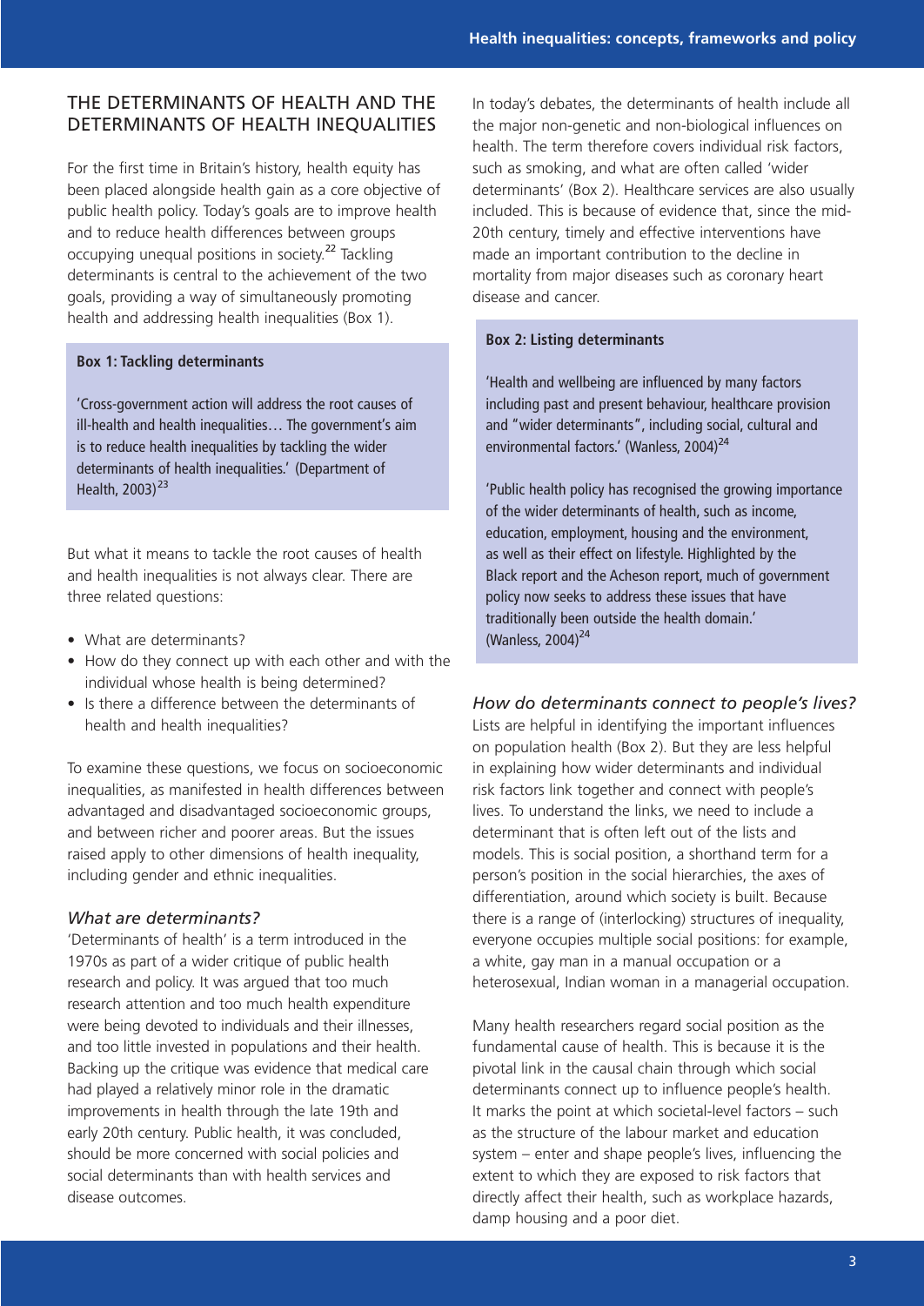# THE DETERMINANTS OF HEALTH AND THE DETERMINANTS OF HEALTH INEQUALITIES

For the first time in Britain's history, health equity has been placed alongside health gain as a core objective of public health policy. Today's goals are to improve health and to reduce health differences between groups occupying unequal positions in society.<sup>22</sup> Tackling determinants is central to the achievement of the two goals, providing a way of simultaneously promoting health and addressing health inequalities (Box 1).

#### **Box 1: Tackling determinants**

'Cross-government action will address the root causes of ill-health and health inequalities… The government's aim is to reduce health inequalities by tackling the wider determinants of health inequalities.' (Department of Health,  $2003$ )<sup>23</sup>

But what it means to tackle the root causes of health and health inequalities is not always clear. There are three related questions:

- What are determinants?
- How do they connect up with each other and with the individual whose health is being determined?
- Is there a difference between the determinants of health and health inequalities?

To examine these questions, we focus on socioeconomic inequalities, as manifested in health differences between advantaged and disadvantaged socioeconomic groups, and between richer and poorer areas. But the issues raised apply to other dimensions of health inequality, including gender and ethnic inequalities.

#### *What are determinants?*

'Determinants of health' is a term introduced in the 1970s as part of a wider critique of public health research and policy. It was argued that too much research attention and too much health expenditure were being devoted to individuals and their illnesses, and too little invested in populations and their health. Backing up the critique was evidence that medical care had played a relatively minor role in the dramatic improvements in health through the late 19th and early 20th century. Public health, it was concluded, should be more concerned with social policies and social determinants than with health services and disease outcomes.

In today's debates, the determinants of health include all the major non-genetic and non-biological influences on health. The term therefore covers individual risk factors, such as smoking, and what are often called 'wider determinants' (Box 2). Healthcare services are also usually included. This is because of evidence that, since the mid-20th century, timely and effective interventions have made an important contribution to the decline in mortality from major diseases such as coronary heart disease and cancer.

#### **Box 2: Listing determinants**

'Health and wellbeing are influenced by many factors including past and present behaviour, healthcare provision and "wider determinants", including social, cultural and environmental factors.' (Wanless, 2004)<sup>24</sup>

'Public health policy has recognised the growing importance of the wider determinants of health, such as income, education, employment, housing and the environment, as well as their effect on lifestyle. Highlighted by the Black report and the Acheson report, much of government policy now seeks to address these issues that have traditionally been outside the health domain.' (Wanless, 2004) $^{24}$ 

#### *How do determinants connect to people's lives?*

Lists are helpful in identifying the important influences on population health (Box 2). But they are less helpful in explaining how wider determinants and individual risk factors link together and connect with people's lives. To understand the links, we need to include a determinant that is often left out of the lists and models. This is social position, a shorthand term for a person's position in the social hierarchies, the axes of differentiation, around which society is built. Because there is a range of (interlocking) structures of inequality, everyone occupies multiple social positions: for example, a white, gay man in a manual occupation or a heterosexual, Indian woman in a managerial occupation.

Many health researchers regard social position as the fundamental cause of health. This is because it is the pivotal link in the causal chain through which social determinants connect up to influence people's health. It marks the point at which societal-level factors – such as the structure of the labour market and education system – enter and shape people's lives, influencing the extent to which they are exposed to risk factors that directly affect their health, such as workplace hazards, damp housing and a poor diet.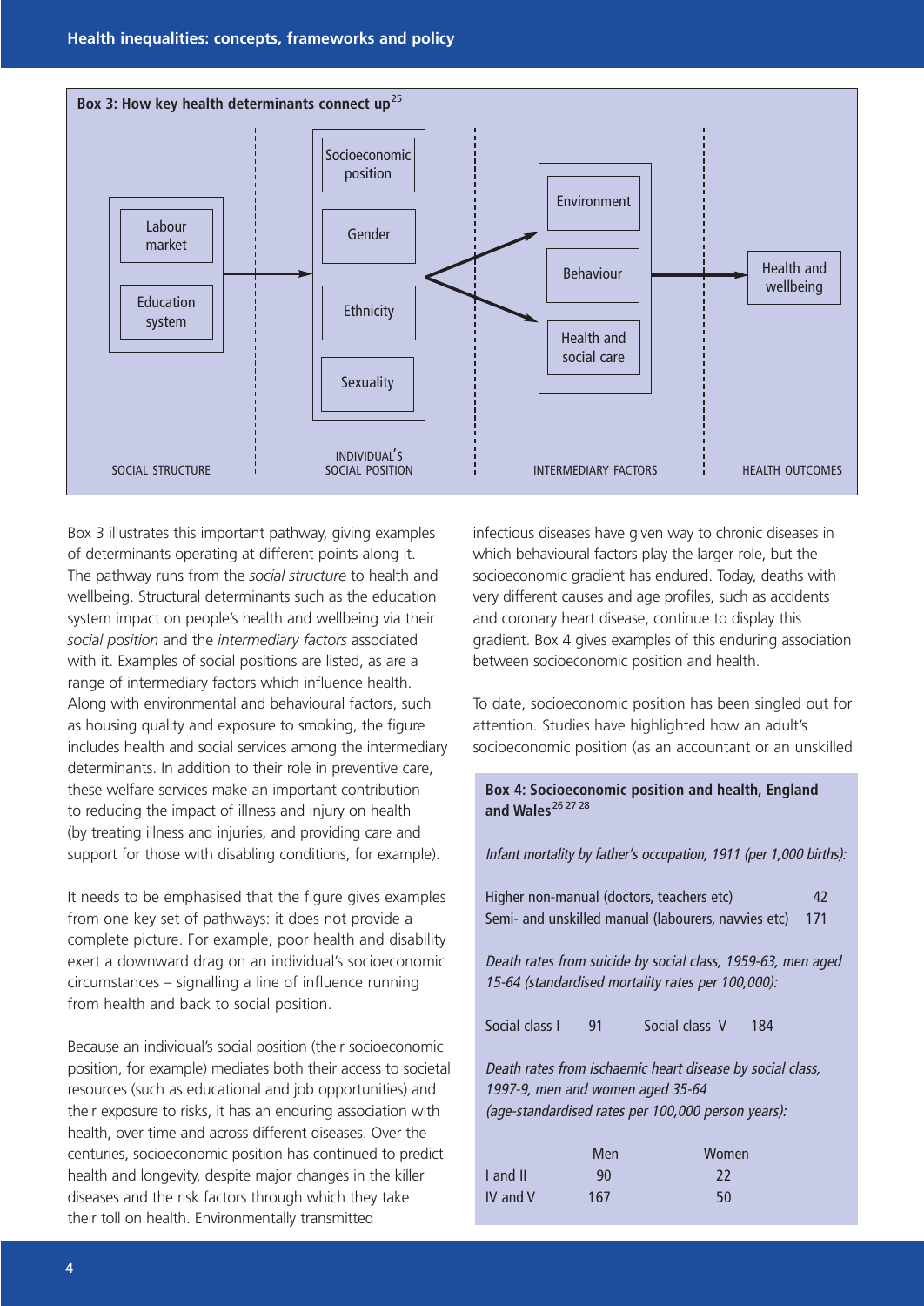

Box 3 illustrates this important pathway, giving examples of determinants operating at different points along it. The pathway runs from the *social structure* to health and wellbeing. Structural determinants such as the education system impact on people's health and wellbeing via their *social position* and the *intermediary factors* associated with it. Examples of social positions are listed, as are a range of intermediary factors which influence health. Along with environmental and behavioural factors, such as housing quality and exposure to smoking, the figure includes health and social services among the intermediary determinants. In addition to their role in preventive care, these welfare services make an important contribution to reducing the impact of illness and injury on health (by treating illness and injuries, and providing care and support for those with disabling conditions, for example).

It needs to be emphasised that the figure gives examples from one key set of pathways: it does not provide a complete picture. For example, poor health and disability exert a downward drag on an individual's socioeconomic circumstances – signalling a line of influence running from health and back to social position.

Because an individual's social position (their socioeconomic position, for example) mediates both their access to societal resources (such as educational and job opportunities) and their exposure to risks, it has an enduring association with health, over time and across different diseases. Over the centuries, socioeconomic position has continued to predict health and longevity, despite major changes in the killer diseases and the risk factors through which they take their toll on health. Environmentally transmitted

infectious diseases have given way to chronic diseases in which behavioural factors play the larger role, but the socioeconomic gradient has endured. Today, deaths with very different causes and age profiles, such as accidents and coronary heart disease, continue to display this gradient. Box 4 gives examples of this enduring association between socioeconomic position and health.

To date, socioeconomic position has been singled out for attention. Studies have highlighted how an adult's socioeconomic position (as an accountant or an unskilled

# **Box 4: Socioeconomic position and health, England**  and Wales<sup>26 27</sup> 28

Infant mortality by father's occupation, 1911 (per 1,000 births):

| Higher non-manual (doctors, teachers etc)           | 42  |
|-----------------------------------------------------|-----|
| Semi- and unskilled manual (labourers, navvies etc) | 171 |

Death rates from suicide by social class, 1959-63, men aged 15-64 (standardised mortality rates per 100,000):

Social class I 91 Social class V 184

Death rates from ischaemic heart disease by social class, 1997-9, men and women aged 35-64 (age-standardised rates per 100,000 person years):

|          | Men | Women |
|----------|-----|-------|
| I and II | 90  | 22    |
| IV and V | 167 | 50    |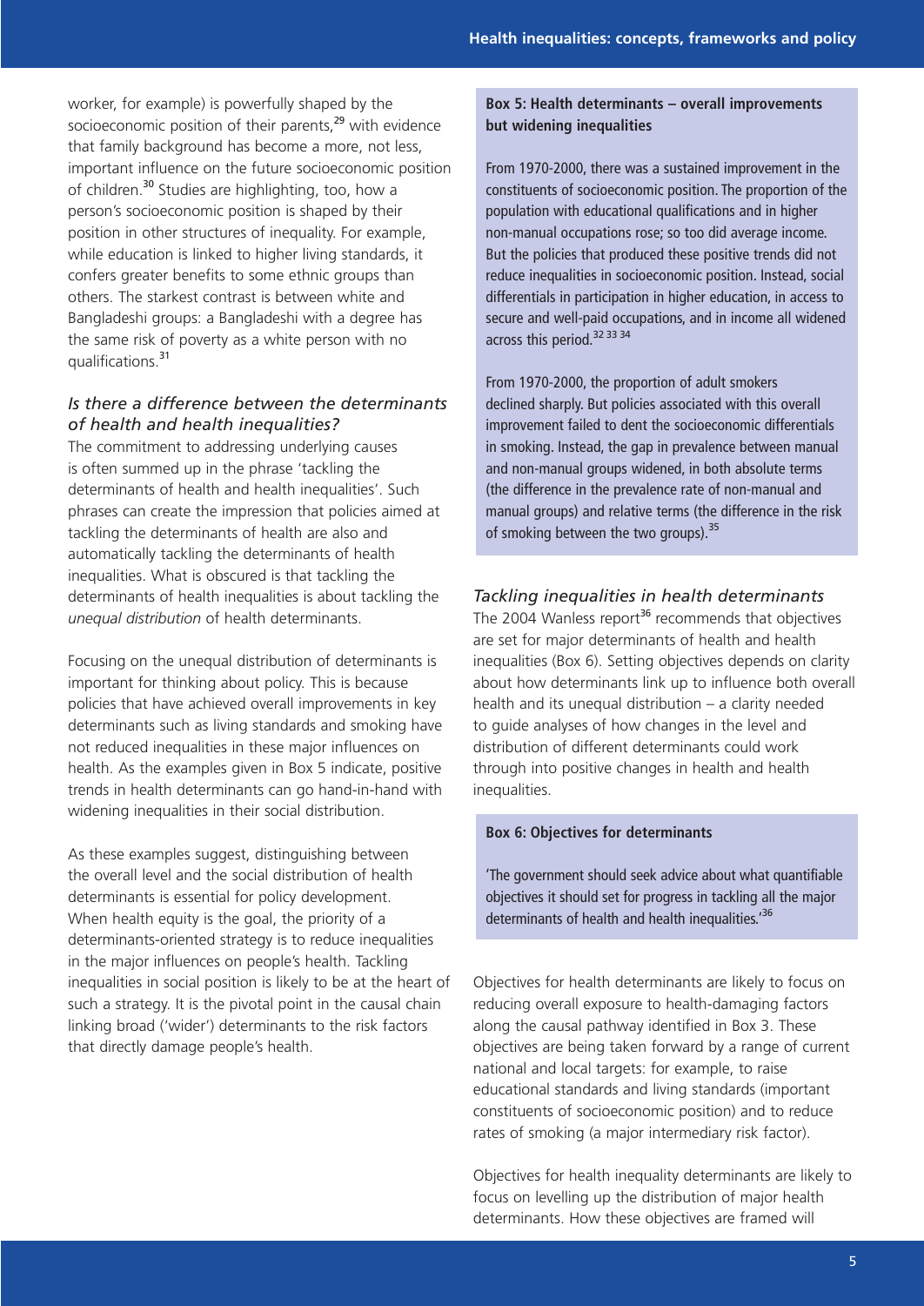worker, for example) is powerfully shaped by the socioeconomic position of their parents,<sup>29</sup> with evidence that family background has become a more, not less, important influence on the future socioeconomic position of children.<sup>30</sup> Studies are highlighting, too, how a person's socioeconomic position is shaped by their position in other structures of inequality. For example, while education is linked to higher living standards, it confers greater benefits to some ethnic groups than others. The starkest contrast is between white and Bangladeshi groups: a Bangladeshi with a degree has the same risk of poverty as a white person with no qualifications.<sup>31</sup>

# *Is there a difference between the determinants of health and health inequalities?*

The commitment to addressing underlying causes is often summed up in the phrase 'tackling the determinants of health and health inequalities'. Such phrases can create the impression that policies aimed at tackling the determinants of health are also and automatically tackling the determinants of health inequalities. What is obscured is that tackling the determinants of health inequalities is about tackling the *unequal distribution* of health determinants.

Focusing on the unequal distribution of determinants is important for thinking about policy. This is because policies that have achieved overall improvements in key determinants such as living standards and smoking have not reduced inequalities in these major influences on health. As the examples given in Box 5 indicate, positive trends in health determinants can go hand-in-hand with widening inequalities in their social distribution.

As these examples suggest, distinguishing between the overall level and the social distribution of health determinants is essential for policy development. When health equity is the goal, the priority of a determinants-oriented strategy is to reduce inequalities in the major influences on people's health. Tackling inequalities in social position is likely to be at the heart of such a strategy. It is the pivotal point in the causal chain linking broad ('wider') determinants to the risk factors that directly damage people's health.

# **Box 5: Health determinants – overall improvements but widening inequalities**

From 1970-2000, there was a sustained improvement in the constituents of socioeconomic position. The proportion of the population with educational qualifications and in higher non-manual occupations rose; so too did average income. But the policies that produced these positive trends did not reduce inequalities in socioeconomic position. Instead, social differentials in participation in higher education, in access to secure and well-paid occupations, and in income all widened across this period.<sup>32 33 34</sup>

From 1970-2000, the proportion of adult smokers declined sharply. But policies associated with this overall improvement failed to dent the socioeconomic differentials in smoking. Instead, the gap in prevalence between manual and non-manual groups widened, in both absolute terms (the difference in the prevalence rate of non-manual and manual groups) and relative terms (the difference in the risk of smoking between the two groups).<sup>35</sup>

# *Tackling inequalities in health determinants*

The 2004 Wanless report<sup>36</sup> recommends that objectives are set for major determinants of health and health inequalities (Box 6). Setting objectives depends on clarity about how determinants link up to influence both overall health and its unequal distribution – a clarity needed to guide analyses of how changes in the level and distribution of different determinants could work through into positive changes in health and health inequalities.

#### **Box 6: Objectives for determinants**

'The government should seek advice about what quantifiable objectives it should set for progress in tackling all the major determinants of health and health inequalities.<sup>'36</sup>

Objectives for health determinants are likely to focus on reducing overall exposure to health-damaging factors along the causal pathway identified in Box 3. These objectives are being taken forward by a range of current national and local targets: for example, to raise educational standards and living standards (important constituents of socioeconomic position) and to reduce rates of smoking (a major intermediary risk factor).

Objectives for health inequality determinants are likely to focus on levelling up the distribution of major health determinants. How these objectives are framed will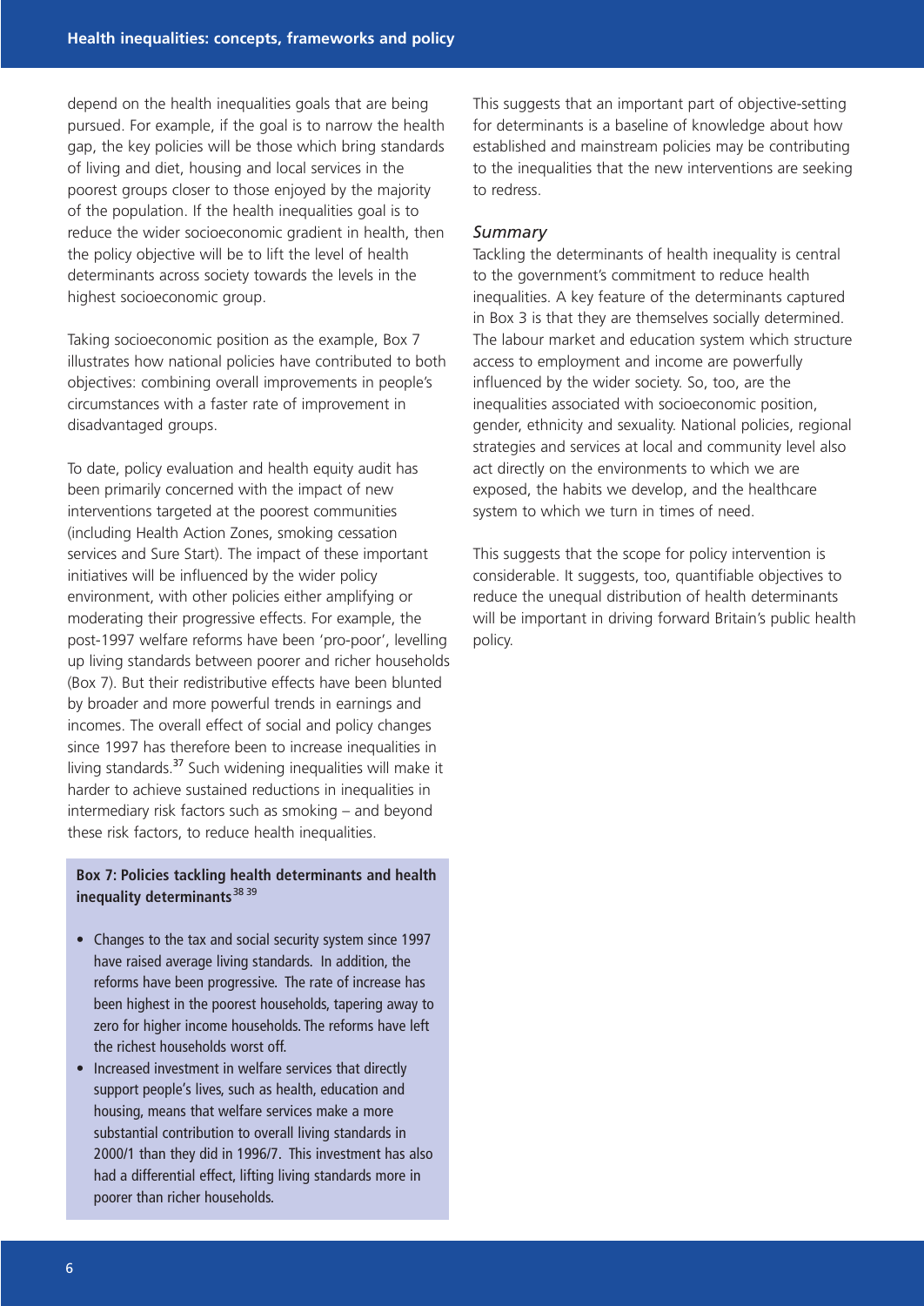depend on the health inequalities goals that are being pursued. For example, if the goal is to narrow the health gap, the key policies will be those which bring standards of living and diet, housing and local services in the poorest groups closer to those enjoyed by the majority of the population. If the health inequalities goal is to reduce the wider socioeconomic gradient in health, then the policy objective will be to lift the level of health determinants across society towards the levels in the highest socioeconomic group.

Taking socioeconomic position as the example, Box 7 illustrates how national policies have contributed to both objectives: combining overall improvements in people's circumstances with a faster rate of improvement in disadvantaged groups.

To date, policy evaluation and health equity audit has been primarily concerned with the impact of new interventions targeted at the poorest communities (including Health Action Zones, smoking cessation services and Sure Start). The impact of these important initiatives will be influenced by the wider policy environment, with other policies either amplifying or moderating their progressive effects. For example, the post-1997 welfare reforms have been 'pro-poor', levelling up living standards between poorer and richer households (Box 7). But their redistributive effects have been blunted by broader and more powerful trends in earnings and incomes. The overall effect of social and policy changes since 1997 has therefore been to increase inequalities in living standards.<sup>37</sup> Such widening inequalities will make it harder to achieve sustained reductions in inequalities in intermediary risk factors such as smoking – and beyond these risk factors, to reduce health inequalities.

#### **Box 7: Policies tackling health determinants and health** inequality determinants<sup>38</sup> 39

- Changes to the tax and social security system since 1997 have raised average living standards. In addition, the reforms have been progressive. The rate of increase has been highest in the poorest households, tapering away to zero for higher income households. The reforms have left the richest households worst off.
- Increased investment in welfare services that directly support people's lives, such as health, education and housing, means that welfare services make a more substantial contribution to overall living standards in 2000/1 than they did in 1996/7. This investment has also had a differential effect, lifting living standards more in poorer than richer households.

This suggests that an important part of objective-setting for determinants is a baseline of knowledge about how established and mainstream policies may be contributing to the inequalities that the new interventions are seeking to redress.

#### *Summary*

Tackling the determinants of health inequality is central to the government's commitment to reduce health inequalities. A key feature of the determinants captured in Box 3 is that they are themselves socially determined. The labour market and education system which structure access to employment and income are powerfully influenced by the wider society. So, too, are the inequalities associated with socioeconomic position, gender, ethnicity and sexuality. National policies, regional strategies and services at local and community level also act directly on the environments to which we are exposed, the habits we develop, and the healthcare system to which we turn in times of need.

This suggests that the scope for policy intervention is considerable. It suggests, too, quantifiable objectives to reduce the unequal distribution of health determinants will be important in driving forward Britain's public health policy.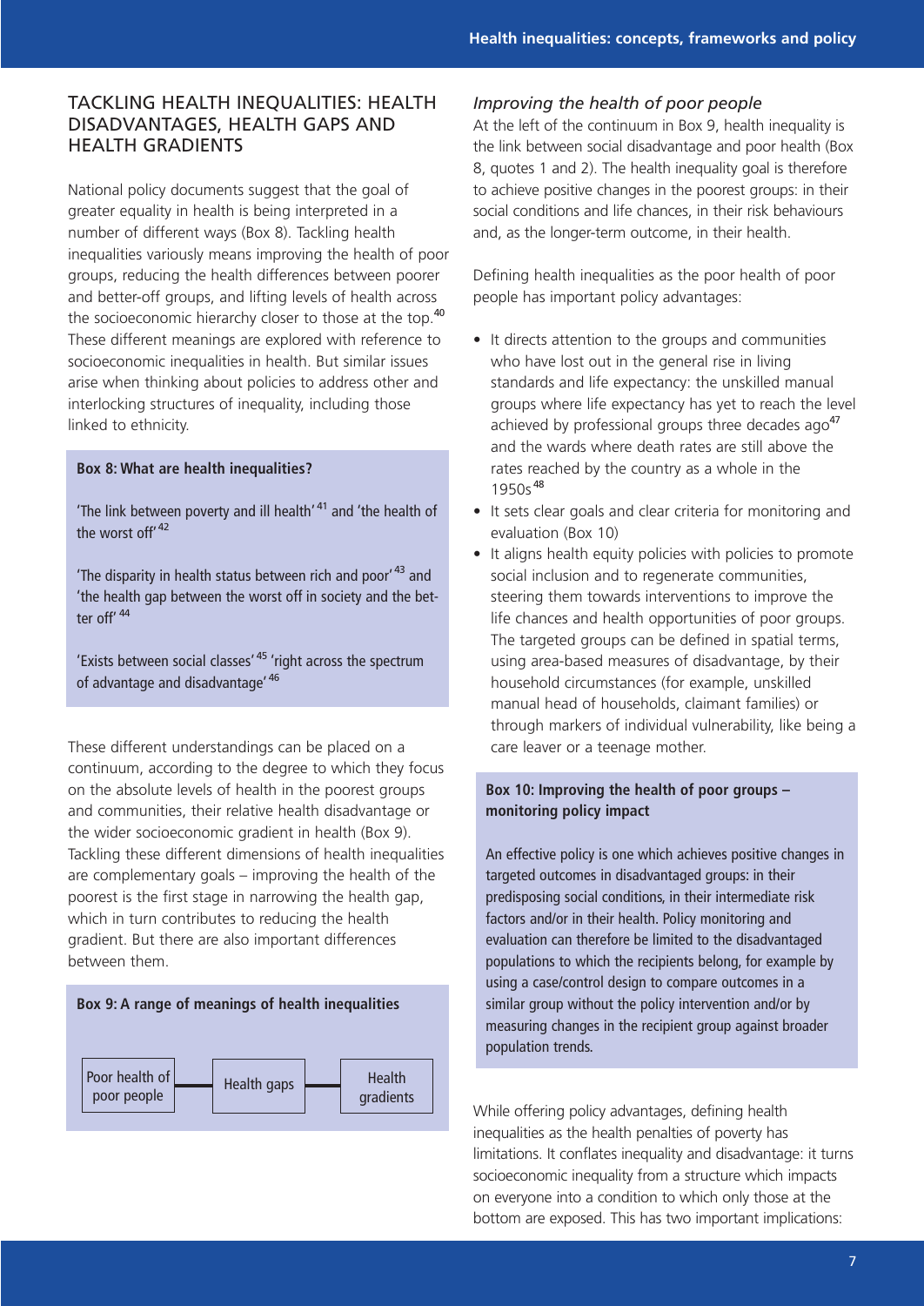# TACKLING HEALTH INEQUALITIES: HEALTH DISADVANTAGES, HEALTH GAPS AND HEALTH GRADIENTS

National policy documents suggest that the goal of greater equality in health is being interpreted in a number of different ways (Box 8). Tackling health inequalities variously means improving the health of poor groups, reducing the health differences between poorer and better-off groups, and lifting levels of health across the socioeconomic hierarchy closer to those at the top.<sup>40</sup> These different meanings are explored with reference to socioeconomic inequalities in health. But similar issues arise when thinking about policies to address other and interlocking structures of inequality, including those linked to ethnicity.

#### **Box 8: What are health inequalities?**

'The link between poverty and ill health' <sup>41</sup> and 'the health of the worst off<sup>'42</sup>

'The disparity in health status between rich and poor<sup>43</sup> and 'the health gap between the worst off in society and the better off<sup>' 44</sup>

'Exists between social classes' <sup>45</sup> 'right across the spectrum of advantage and disadvantage' <sup>46</sup>

These different understandings can be placed on a continuum, according to the degree to which they focus on the absolute levels of health in the poorest groups and communities, their relative health disadvantage or the wider socioeconomic gradient in health (Box 9). Tackling these different dimensions of health inequalities are complementary goals – improving the health of the poorest is the first stage in narrowing the health gap, which in turn contributes to reducing the health gradient. But there are also important differences between them.

### **Box 9: A range of meanings of health inequalities**



#### *Improving the health of poor people*

At the left of the continuum in Box 9, health inequality is the link between social disadvantage and poor health (Box 8, quotes 1 and 2). The health inequality goal is therefore to achieve positive changes in the poorest groups: in their social conditions and life chances, in their risk behaviours and, as the longer-term outcome, in their health.

Defining health inequalities as the poor health of poor people has important policy advantages:

- It directs attention to the groups and communities who have lost out in the general rise in living standards and life expectancy: the unskilled manual groups where life expectancy has yet to reach the level achieved by professional groups three decades ago<sup>47</sup> and the wards where death rates are still above the rates reached by the country as a whole in the  $1950s^{48}$
- It sets clear goals and clear criteria for monitoring and evaluation (Box 10)
- It aligns health equity policies with policies to promote social inclusion and to regenerate communities, steering them towards interventions to improve the life chances and health opportunities of poor groups. The targeted groups can be defined in spatial terms, using area-based measures of disadvantage, by their household circumstances (for example, unskilled manual head of households, claimant families) or through markers of individual vulnerability, like being a care leaver or a teenage mother.

# **Box 10: Improving the health of poor groups – monitoring policy impact**

An effective policy is one which achieves positive changes in targeted outcomes in disadvantaged groups: in their predisposing social conditions, in their intermediate risk factors and/or in their health. Policy monitoring and evaluation can therefore be limited to the disadvantaged populations to which the recipients belong, for example by using a case/control design to compare outcomes in a similar group without the policy intervention and/or by measuring changes in the recipient group against broader population trends.

While offering policy advantages, defining health inequalities as the health penalties of poverty has limitations. It conflates inequality and disadvantage: it turns socioeconomic inequality from a structure which impacts on everyone into a condition to which only those at the bottom are exposed. This has two important implications: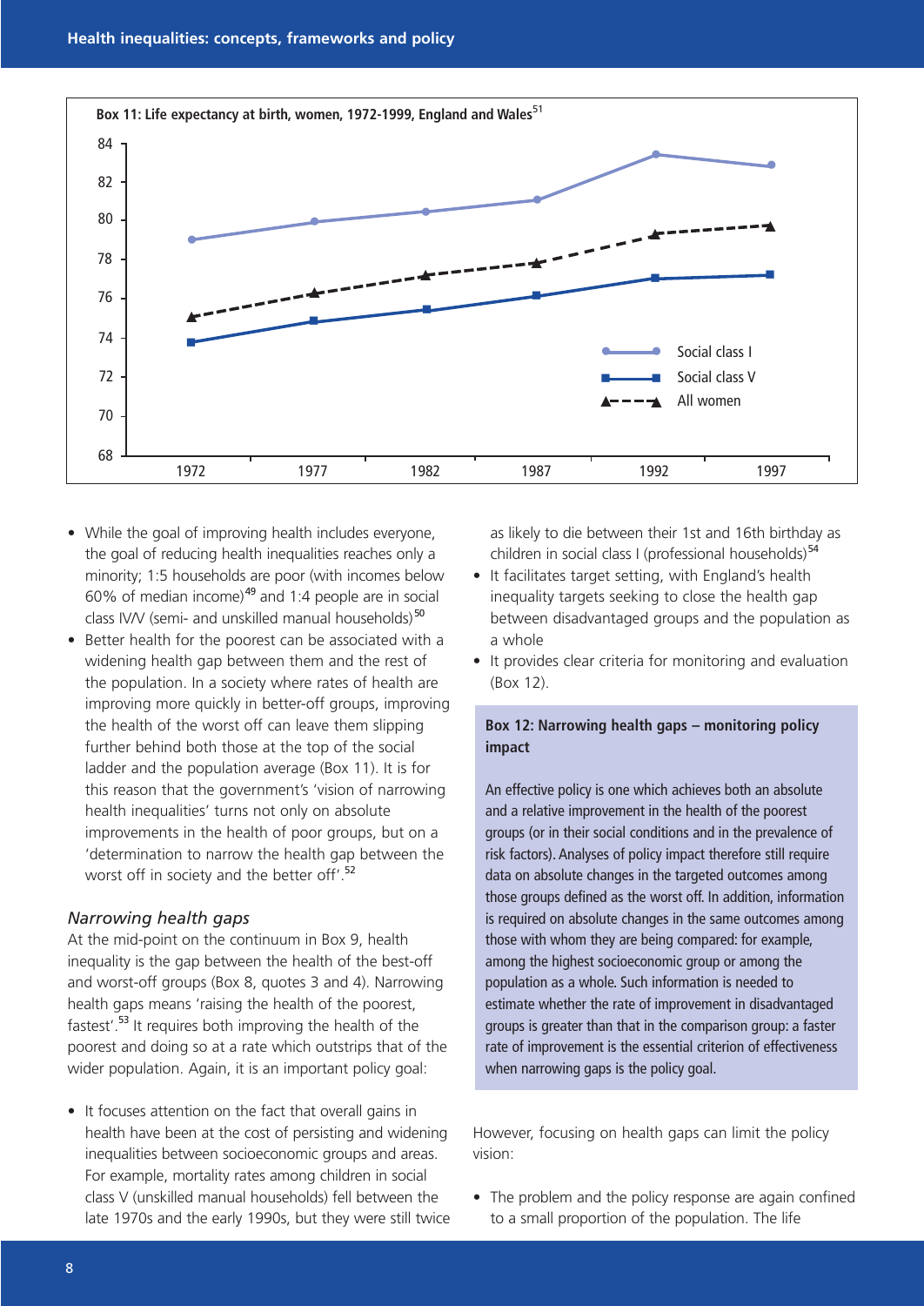

- While the goal of improving health includes everyone, the goal of reducing health inequalities reaches only a minority; 1:5 households are poor (with incomes below 60% of median income)<sup>49</sup> and 1:4 people are in social class IV/V (semi- and unskilled manual households)<sup>50</sup>
- Better health for the poorest can be associated with a widening health gap between them and the rest of the population. In a society where rates of health are improving more quickly in better-off groups, improving the health of the worst off can leave them slipping further behind both those at the top of the social ladder and the population average (Box 11). It is for this reason that the government's 'vision of narrowing health inequalities' turns not only on absolute improvements in the health of poor groups, but on a 'determination to narrow the health gap between the worst off in society and the better off'.<sup>52</sup>

#### *Narrowing health gaps*

At the mid-point on the continuum in Box 9, health inequality is the gap between the health of the best-off and worst-off groups (Box 8, quotes 3 and 4). Narrowing health gaps means 'raising the health of the poorest, fastest'.<sup>53</sup> It requires both improving the health of the poorest and doing so at a rate which outstrips that of the wider population. Again, it is an important policy goal:

• It focuses attention on the fact that overall gains in health have been at the cost of persisting and widening inequalities between socioeconomic groups and areas. For example, mortality rates among children in social class V (unskilled manual households) fell between the late 1970s and the early 1990s, but they were still twice as likely to die between their 1st and 16th birthday as children in social class I (professional households) $54$ 

- It facilitates target setting, with England's health inequality targets seeking to close the health gap between disadvantaged groups and the population as a whole
- It provides clear criteria for monitoring and evaluation (Box 12).

#### **Box 12: Narrowing health gaps – monitoring policy impact**

An effective policy is one which achieves both an absolute and a relative improvement in the health of the poorest groups (or in their social conditions and in the prevalence of risk factors). Analyses of policy impact therefore still require data on absolute changes in the targeted outcomes among those groups defined as the worst off. In addition, information is required on absolute changes in the same outcomes among those with whom they are being compared: for example, among the highest socioeconomic group or among the population as a whole. Such information is needed to estimate whether the rate of improvement in disadvantaged groups is greater than that in the comparison group: a faster rate of improvement is the essential criterion of effectiveness when narrowing gaps is the policy goal.

However, focusing on health gaps can limit the policy vision:

• The problem and the policy response are again confined to a small proportion of the population. The life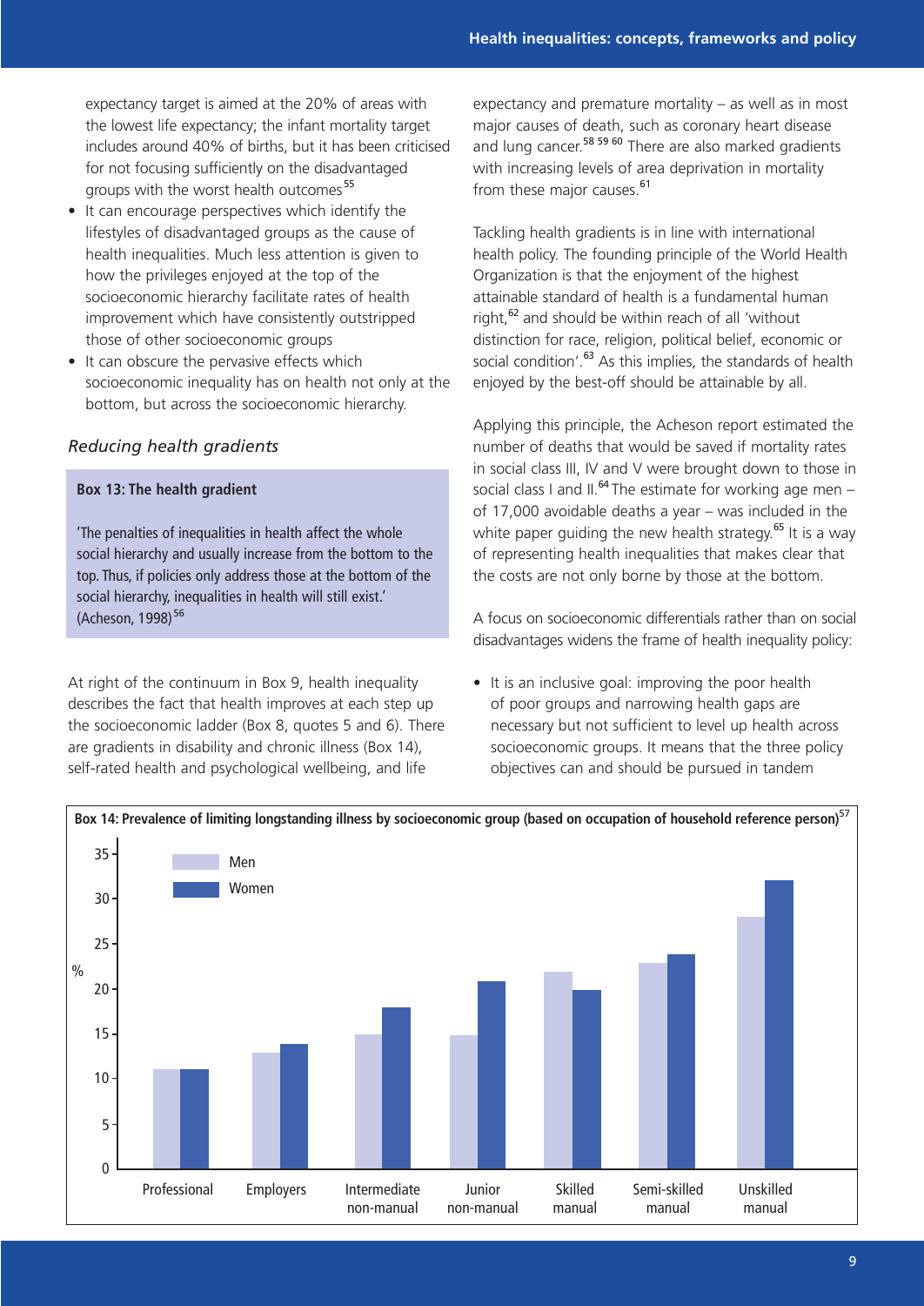expectancy target is aimed at the 20% of areas with the lowest life expectancy; the infant mortality target includes around 40% of births, but it has been criticised for not focusing sufficiently on the disadvantaged groups with the worst health outcomes <sup>55</sup>

- It can encourage perspectives which identify the lifestyles of disadvantaged groups as the cause of health inequalities. Much less attention is given to how the privileges enjoyed at the top of the socioeconomic hierarchy facilitate rates of health improvement which have consistently outstripped those of other socioeconomic groups
- It can obscure the pervasive effects which socioeconomic inequality has on health not only at the bottom, but across the socioeconomic hierarchy.

### *Reducing health gradients*

#### **Box 13: The health gradient**

'The penalties of inequalities in health affect the whole social hierarchy and usually increase from the bottom to the top. Thus, if policies only address those at the bottom of the social hierarchy, inequalities in health will still exist.' (Acheson, 1998)<sup>56</sup>

At right of the continuum in Box 9, health inequality describes the fact that health improves at each step up the socioeconomic ladder (Box 8, quotes 5 and 6). There are gradients in disability and chronic illness (Box 14), self-rated health and psychological wellbeing, and life

expectancy and premature mortality – as well as in most major causes of death, such as coronary heart disease and lung cancer.<sup>58 59 60</sup> There are also marked gradients with increasing levels of area deprivation in mortality from these major causes.<sup>61</sup>

Tackling health gradients is in line with international health policy. The founding principle of the World Health Organization is that the enjoyment of the highest attainable standard of health is a fundamental human right,<sup>62</sup> and should be within reach of all 'without distinction for race, religion, political belief, economic or social condition'.<sup>63</sup> As this implies, the standards of health enjoyed by the best-off should be attainable by all.

Applying this principle, the Acheson report estimated the number of deaths that would be saved if mortality rates in social class III, IV and V were brought down to those in social class I and II.<sup>64</sup> The estimate for working age men – of 17,000 avoidable deaths a year – was included in the white paper quiding the new health strategy.<sup>65</sup> It is a way of representing health inequalities that makes clear that the costs are not only borne by those at the bottom.

A focus on socioeconomic differentials rather than on social disadvantages widens the frame of health inequality policy:

• It is an inclusive goal: improving the poor health of poor groups and narrowing health gaps are necessary but not sufficient to level up health across socioeconomic groups. It means that the three policy objectives can and should be pursued in tandem

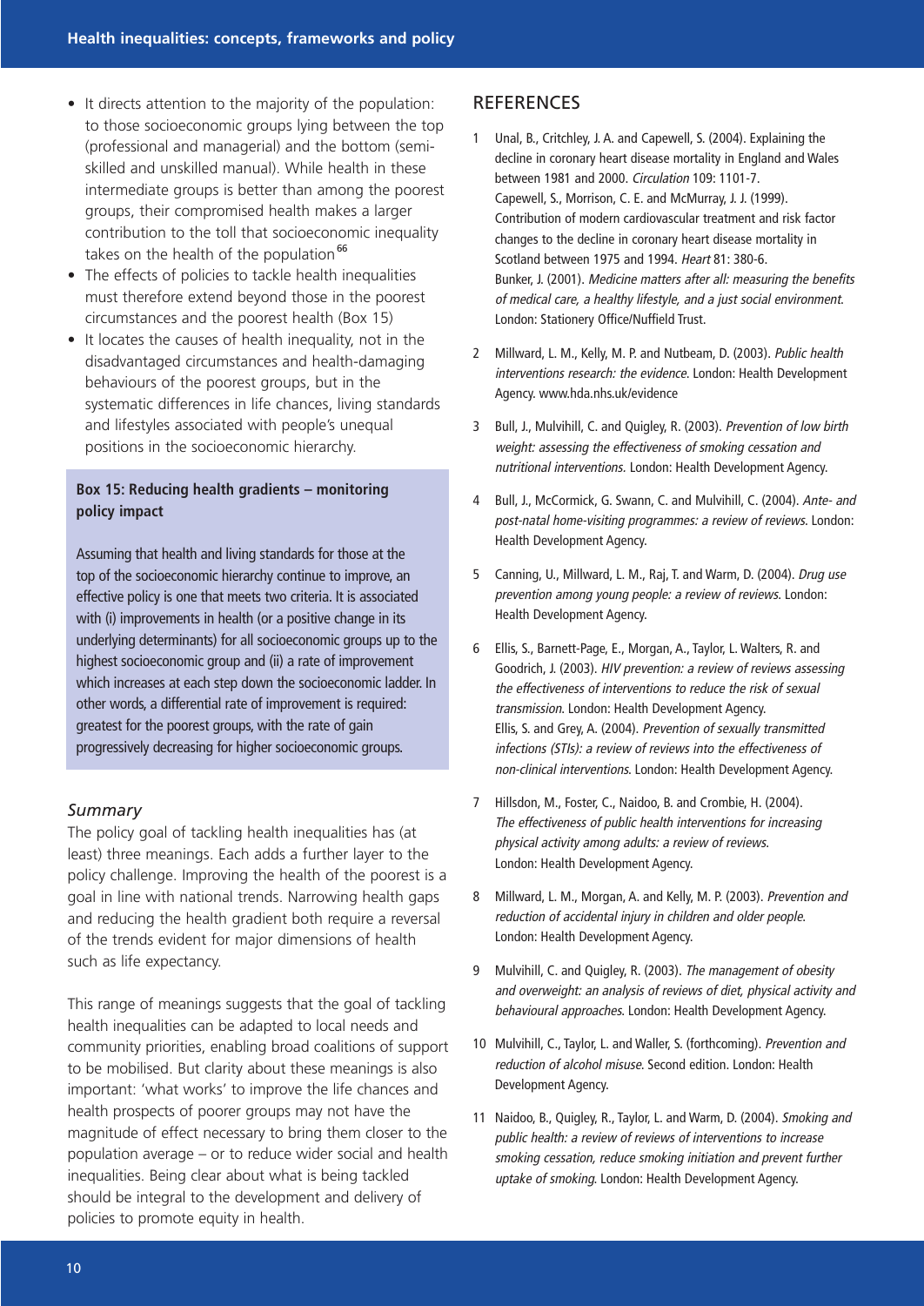- It directs attention to the majority of the population: to those socioeconomic groups lying between the top (professional and managerial) and the bottom (semiskilled and unskilled manual). While health in these intermediate groups is better than among the poorest groups, their compromised health makes a larger contribution to the toll that socioeconomic inequality takes on the health of the population $^{66}$
- The effects of policies to tackle health inequalities must therefore extend beyond those in the poorest circumstances and the poorest health (Box 15)
- It locates the causes of health inequality, not in the disadvantaged circumstances and health-damaging behaviours of the poorest groups, but in the systematic differences in life chances, living standards and lifestyles associated with people's unequal positions in the socioeconomic hierarchy.

# **Box 15: Reducing health gradients – monitoring policy impact**

Assuming that health and living standards for those at the top of the socioeconomic hierarchy continue to improve, an effective policy is one that meets two criteria. It is associated with (i) improvements in health (or a positive change in its underlying determinants) for all socioeconomic groups up to the highest socioeconomic group and (ii) a rate of improvement which increases at each step down the socioeconomic ladder. In other words, a differential rate of improvement is required: greatest for the poorest groups, with the rate of gain progressively decreasing for higher socioeconomic groups.

#### *Summary*

The policy goal of tackling health inequalities has (at least) three meanings. Each adds a further layer to the policy challenge. Improving the health of the poorest is a goal in line with national trends. Narrowing health gaps and reducing the health gradient both require a reversal of the trends evident for major dimensions of health such as life expectancy.

This range of meanings suggests that the goal of tackling health inequalities can be adapted to local needs and community priorities, enabling broad coalitions of support to be mobilised. But clarity about these meanings is also important: 'what works' to improve the life chances and health prospects of poorer groups may not have the magnitude of effect necessary to bring them closer to the population average – or to reduce wider social and health inequalities. Being clear about what is being tackled should be integral to the development and delivery of policies to promote equity in health.

#### **REFERENCES**

- 1 Unal, B., Critchley, J. A. and Capewell, S. (2004). Explaining the decline in coronary heart disease mortality in England and Wales between 1981 and 2000. Circulation 109: 1101-7. Capewell, S., Morrison, C. E. and McMurray, J. J. (1999). Contribution of modern cardiovascular treatment and risk factor changes to the decline in coronary heart disease mortality in Scotland between 1975 and 1994. Heart 81: 380-6. Bunker, J. (2001). Medicine matters after all: measuring the benefits of medical care, a healthy lifestyle, and a just social environment. London: Stationery Office/Nuffield Trust.
- 2 Millward, L. M., Kelly, M. P. and Nutbeam, D. (2003). Public health interventions research: the evidence. London: Health Development Agency. www.hda.nhs.uk/evidence
- 3 Bull, J., Mulvihill, C. and Quigley, R. (2003). Prevention of low birth weight: assessing the effectiveness of smoking cessation and nutritional interventions. London: Health Development Agency.
- 4 Bull, J., McCormick, G. Swann, C. and Mulvihill, C. (2004). Ante- and post-natal home-visiting programmes: a review of reviews. London: Health Development Agency.
- 5 Canning, U., Millward, L. M., Raj, T. and Warm, D. (2004). Drug use prevention among young people: a review of reviews. London: Health Development Agency.
- 6 Ellis, S., Barnett-Page, E., Morgan, A., Taylor, L. Walters, R. and Goodrich, J. (2003). HIV prevention: a review of reviews assessing the effectiveness of interventions to reduce the risk of sexual transmission. London: Health Development Agency. Ellis, S. and Grey, A. (2004). Prevention of sexually transmitted infections (STIs): a review of reviews into the effectiveness of non-clinical interventions. London: Health Development Agency.
- 7 Hillsdon, M., Foster, C., Naidoo, B. and Crombie, H. (2004). The effectiveness of public health interventions for increasing physical activity among adults: a review of reviews. London: Health Development Agency.
- 8 Millward, L. M., Morgan, A. and Kelly, M. P. (2003). Prevention and reduction of accidental injury in children and older people. London: Health Development Agency.
- 9 Mulvihill, C. and Quigley, R. (2003). The management of obesity and overweight: an analysis of reviews of diet, physical activity and behavioural approaches. London: Health Development Agency.
- 10 Mulvihill, C., Taylor, L. and Waller, S. (forthcoming). Prevention and reduction of alcohol misuse. Second edition. London: Health Development Agency.
- 11 Naidoo, B., Quigley, R., Taylor, L. and Warm, D. (2004). Smoking and public health: a review of reviews of interventions to increase smoking cessation, reduce smoking initiation and prevent further uptake of smoking. London: Health Development Agency.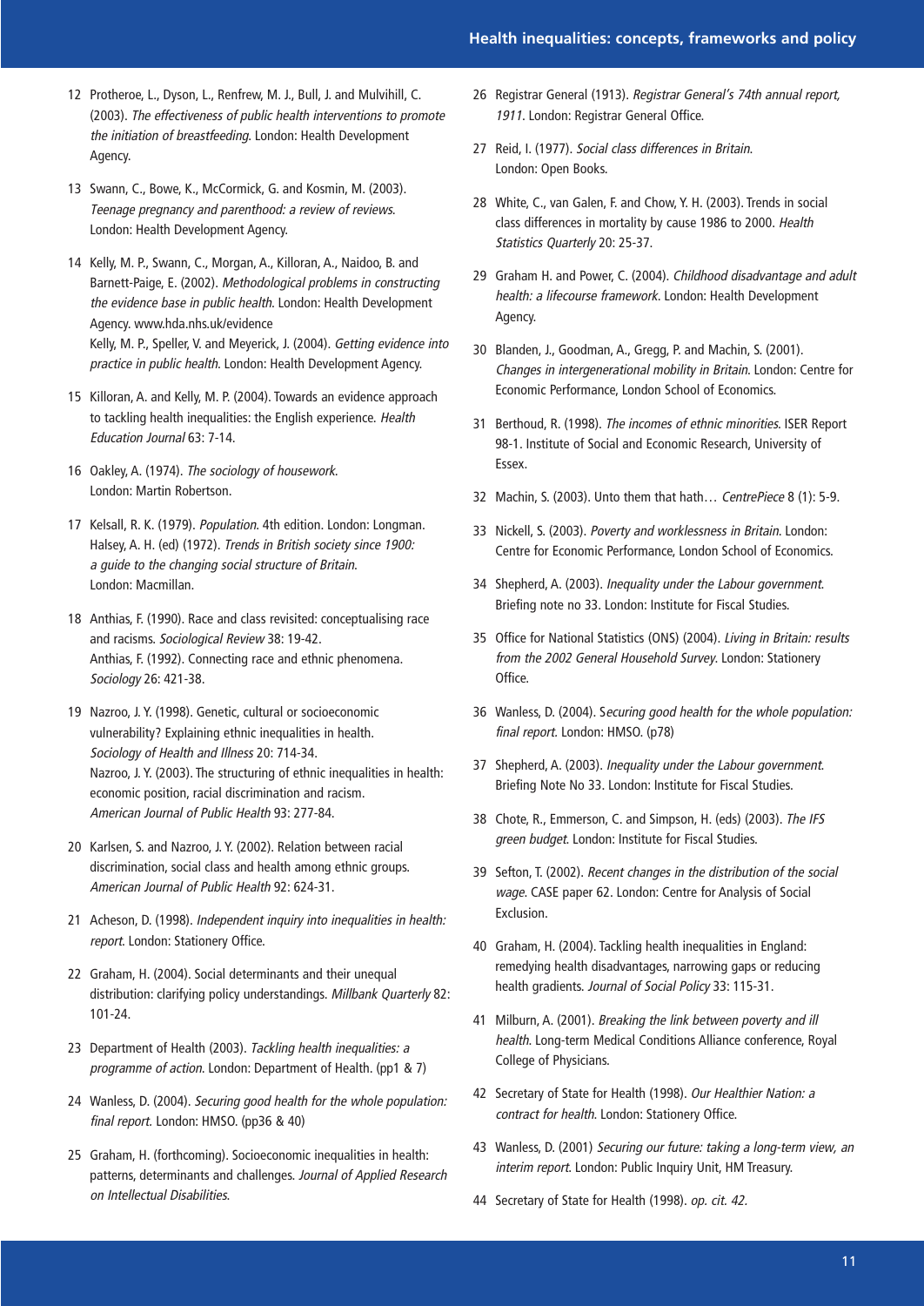- 12 Protheroe, L., Dyson, L., Renfrew, M. J., Bull, J. and Mulvihill, C. (2003). The effectiveness of public health interventions to promote the initiation of breastfeeding. London: Health Development Agency.
- 13 Swann, C., Bowe, K., McCormick, G. and Kosmin, M. (2003). Teenage pregnancy and parenthood: a review of reviews. London: Health Development Agency.
- 14 Kelly, M. P., Swann, C., Morgan, A., Killoran, A., Naidoo, B. and Barnett-Paige, E. (2002). Methodological problems in constructing the evidence base in public health. London: Health Development Agency. www.hda.nhs.uk/evidence Kelly, M. P., Speller, V. and Meyerick, J. (2004). Getting evidence into practice in public health. London: Health Development Agency.
- 15 Killoran, A. and Kelly, M. P. (2004). Towards an evidence approach to tackling health inequalities: the English experience. Health Education Journal 63: 7-14.
- 16 Oakley, A. (1974). The sociology of housework. London: Martin Robertson.
- 17 Kelsall, R. K. (1979). Population. 4th edition. London: Longman. Halsey, A. H. (ed) (1972). Trends in British society since 1900: a guide to the changing social structure of Britain. London: Macmillan.
- 18 Anthias, F. (1990). Race and class revisited: conceptualising race and racisms. Sociological Review 38: 19-42. Anthias, F. (1992). Connecting race and ethnic phenomena. Sociology 26: 421-38.
- 19 Nazroo, J. Y. (1998). Genetic, cultural or socioeconomic vulnerability? Explaining ethnic inequalities in health. Sociology of Health and Illness 20: 714-34. Nazroo, J. Y. (2003). The structuring of ethnic inequalities in health: economic position, racial discrimination and racism. American Journal of Public Health 93: 277-84.
- 20 Karlsen, S. and Nazroo, J. Y. (2002). Relation between racial discrimination, social class and health among ethnic groups. American Journal of Public Health 92: 624-31.
- 21 Acheson, D. (1998). Independent inquiry into inequalities in health: report. London: Stationery Office.
- 22 Graham, H. (2004). Social determinants and their unequal distribution: clarifying policy understandings. Millbank Quarterly 82: 101-24.
- 23 Department of Health (2003). Tackling health inequalities: a programme of action. London: Department of Health. (pp1 & 7)
- 24 Wanless, D. (2004). Securing good health for the whole population: final report. London: HMSO. (pp36 & 40)
- 25 Graham, H. (forthcoming). Socioeconomic inequalities in health: patterns, determinants and challenges. Journal of Applied Research on Intellectual Disabilities.
- 26 Registrar General (1913). Registrar General's 74th annual report, 1911. London: Registrar General Office.
- 27 Reid, I. (1977). Social class differences in Britain. London: Open Books.
- 28 White, C., van Galen, F. and Chow, Y. H. (2003). Trends in social class differences in mortality by cause 1986 to 2000. Health Statistics Quarterly 20: 25-37.
- 29 Graham H. and Power, C. (2004). Childhood disadvantage and adult health: a lifecourse framework. London: Health Development Agency.
- 30 Blanden, J., Goodman, A., Gregg, P. and Machin, S. (2001). Changes in intergenerational mobility in Britain. London: Centre for Economic Performance, London School of Economics.
- 31 Berthoud, R. (1998). The incomes of ethnic minorities. ISER Report 98-1. Institute of Social and Economic Research, University of Essex.
- 32 Machin, S. (2003). Unto them that hath… CentrePiece 8 (1): 5-9.
- 33 Nickell, S. (2003). Poverty and worklessness in Britain. London: Centre for Economic Performance, London School of Economics.
- 34 Shepherd, A. (2003). Inequality under the Labour government. Briefing note no 33. London: Institute for Fiscal Studies.
- 35 Office for National Statistics (ONS) (2004). Living in Britain: results from the 2002 General Household Survey. London: Stationery Office.
- 36 Wanless, D. (2004). Securing good health for the whole population: final report. London: HMSO. (p78)
- 37 Shepherd, A. (2003). Inequality under the Labour government. Briefing Note No 33. London: Institute for Fiscal Studies.
- 38 Chote, R., Emmerson, C. and Simpson, H. (eds) (2003). The IFS green budget. London: Institute for Fiscal Studies.
- 39 Sefton, T. (2002). Recent changes in the distribution of the social wage. CASE paper 62. London: Centre for Analysis of Social Exclusion.
- 40 Graham, H. (2004). Tackling health inequalities in England: remedying health disadvantages, narrowing gaps or reducing health gradients. Journal of Social Policy 33: 115-31.
- 41 Milburn, A. (2001). Breaking the link between poverty and ill health. Long-term Medical Conditions Alliance conference, Royal College of Physicians.
- 42 Secretary of State for Health (1998). Our Healthier Nation: a contract for health. London: Stationery Office.
- 43 Wanless, D. (2001) Securing our future: taking a long-term view, an interim report. London: Public Inquiry Unit, HM Treasury.
- 44 Secretary of State for Health (1998). op. cit. 42.